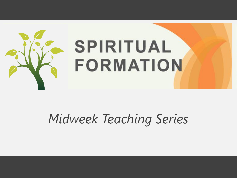

#### *Midweek Teaching Series*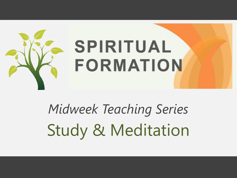

*Midweek Teaching Series* Study & Meditation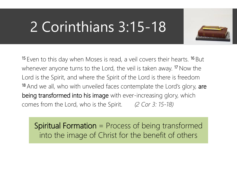### 2 Corinthians 3:15-18



<sup>15</sup> Even to this day when Moses is read, a veil covers their hearts. <sup>16</sup> But whenever anyone turns to the Lord, the veil is taken away.<sup>17</sup> Now the Lord is the Spirit, and where the Spirit of the Lord is there is freedom <sup>18</sup> And we all, who with unveiled faces contemplate the Lord's glory, are being transformed into his image with ever-increasing glory, which comes from the Lord, who is the Spirit. *(2 Cor 3: 15-18)*

Spiritual Formation = Process of being transformed into the image of Christ for the benefit of others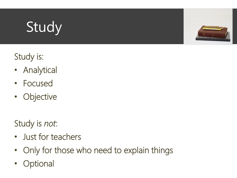# Study



#### Study is:

- Analytical
- Focused
- Objective

Study is *not*:

- Just for teachers
- Only for those who need to explain things
- **Optional**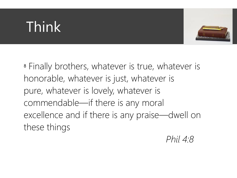## Think



<sup>8</sup> Finally brothers, whatever is true, whatever is honorable, whatever is just, whatever is pure, whatever is lovely, whatever is commendable—if there is any moral excellence and if there is any praise—dwell on these things

*Phil 4:8*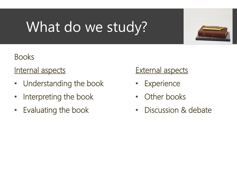# What do we study?



#### **Books**

#### Internal aspects

- Understanding the book
- Interpreting the book
- Evaluating the book

#### **External aspects**

- **Experience**
- **Other books**
- Discussion & debate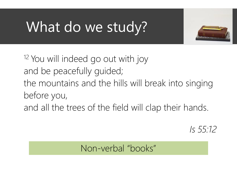### What do we study?



<sup>12</sup> You will indeed go out with joy and be peacefully guided;

the mountains and the hills will break into singing before you,

and all the trees of the field will clap their hands.

*Is 55:12*

Non-verbal "books"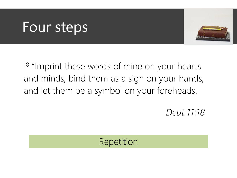

<sup>18</sup> "Imprint these words of mine on your hearts and minds, bind them as a sign on your hands, and let them be a symbol on your foreheads.

*Deut 11:18*

#### Repetition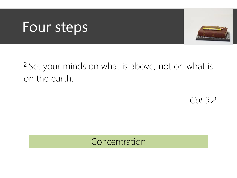

<sup>2</sup> Set your minds on what is above, not on what is on the earth.

*Col 3:2*

#### Concentration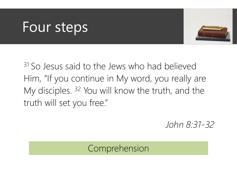

<sup>31</sup> So Jesus said to the Jews who had believed Him, "If you continue in My word, you really are My disciples. <sup>32</sup> You will know the truth, and the truth will set you free."

*John 8:31-32*

#### Comprehension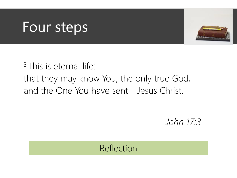

<sup>3</sup> This is eternal life: that they may know You, the only true God, and the One You have sent—Jesus Christ.

*John 17:3*

#### Reflection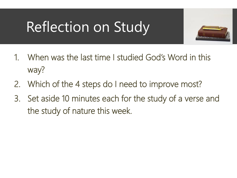### Reflection on Study



- 1. When was the last time I studied God's Word in this way?
- 2. Which of the 4 steps do I need to improve most?
- 3. Set aside 10 minutes each for the study of a verse and the study of nature this week.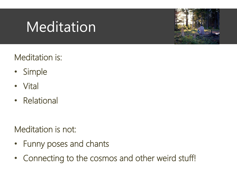

Meditation is:

- Simple
- Vital
- Relational

Meditation is not:

- Funny poses and chants
- Connecting to the cosmos and other weird stuff!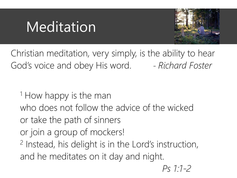

Christian meditation, very simply, is the ability to hear God's voice and obey His word. - *Richard Foster* 

<sup>1</sup> How happy is the man who does not follow the advice of the wicked or take the path of sinners or join a group of mockers! 2 Instead, his delight is in the Lord's instruction, and he meditates on it day and night. *Ps 1:1-2*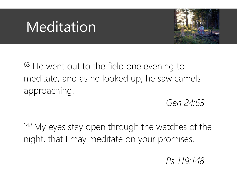

 $63$  He went out to the field one evening to meditate, and as he looked up, he saw camels approaching.

*Gen 24:63*

<sup>148</sup> My eyes stay open through the watches of the night, that I may meditate on your promises.

*Ps 119:148*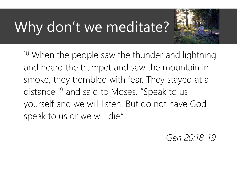## Why don't we meditate?



<sup>18</sup> When the people saw the thunder and lightning and heard the trumpet and saw the mountain in smoke, they trembled with fear. They stayed at a distance <sup>19</sup> and said to Moses, "Speak to us yourself and we will listen. But do not have God speak to us or we will die."

*Gen 20:18-19*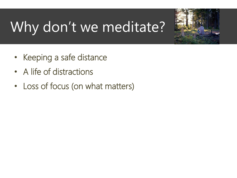# Why don't we meditate?



- Keeping a safe distance
- A life of distractions
- Loss of focus (on what matters)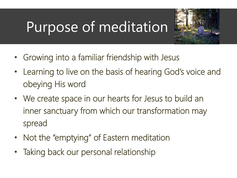### Purpose of meditation



- Growing into a familiar friendship with Jesus
- Learning to live on the basis of hearing God's voice and obeying His word
- We create space in our hearts for Jesus to build an inner sanctuary from which our transformation may spread
- Not the "emptying" of Eastern meditation
- Taking back our personal relationship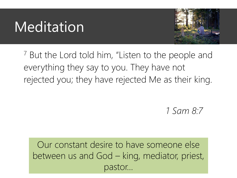

<sup>7</sup> But the Lord told him, "Listen to the people and everything they say to you. They have not rejected you; they have rejected Me as their king.

*1 Sam 8:7*

Our constant desire to have someone else between us and God – king, mediator, priest, pastor…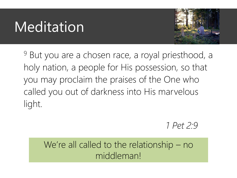

<sup>9</sup> But you are a chosen race, a royal priesthood, a holy nation, a people for His possession, so that you may proclaim the praises of the One who called you out of darkness into His marvelous light.

*1 Pet 2:9*

We're all called to the relationship – no middleman!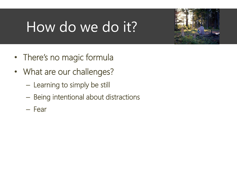## How do we do it?



- There's no magic formula
- What are our challenges?
	- Learning to simply be still
	- Being intentional about distractions
	- Fear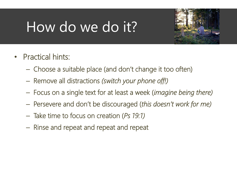### How do we do it?



- Practical hints:
	- Choose a suitable place (and don't change it too often)
	- Remove all distractions *(switch your phone off!)*
	- Focus on a single text for at least a week (*imagine being there)*
	- Persevere and don't be discouraged (*this doesn't work for me)*
	- Take time to focus on creation (*Ps 19:1)*
	- Rinse and repeat and repeat and repeat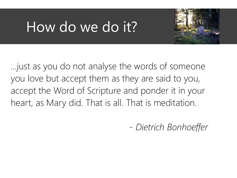### How do we do it?



…just as you do not analyse the words of someone you love but accept them as they are said to you, accept the Word of Scripture and ponder it in your heart, as Mary did. That is all. That is meditation.

*- Dietrich Bonhoeffer*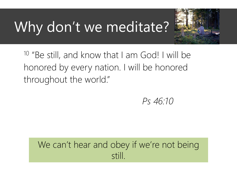## Why don't we meditate?



<sup>10</sup> "Be still, and know that I am God! I will be honored by every nation. I will be honored throughout the world."

*Ps 46:10*

#### We can't hear and obey if we're not being still.